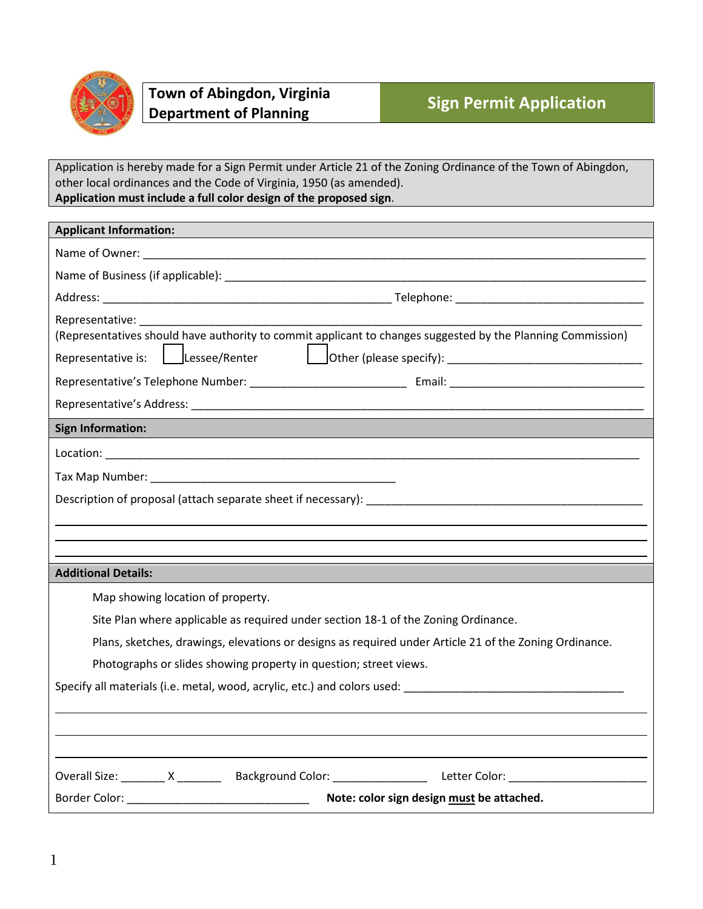

Application is hereby made for a Sign Permit under Article 21 of the Zoning Ordinance of the Town of Abingdon, other local ordinances and the Code of Virginia, 1950 (as amended). **Application must include a full color design of the proposed sign**.

| <b>Applicant Information:</b>                                                                                                                                                                                                                  |  |  |
|------------------------------------------------------------------------------------------------------------------------------------------------------------------------------------------------------------------------------------------------|--|--|
|                                                                                                                                                                                                                                                |  |  |
|                                                                                                                                                                                                                                                |  |  |
|                                                                                                                                                                                                                                                |  |  |
| Representative:<br>(Representatives should have authority to commit applicant to changes suggested by the Planning Commission)<br>$\vert$ Lessee/Renter $\vert$ Other (please specify): ________________________________<br>Representative is: |  |  |
| <b>Sign Information:</b>                                                                                                                                                                                                                       |  |  |
|                                                                                                                                                                                                                                                |  |  |
|                                                                                                                                                                                                                                                |  |  |
|                                                                                                                                                                                                                                                |  |  |
|                                                                                                                                                                                                                                                |  |  |
|                                                                                                                                                                                                                                                |  |  |
| <b>Additional Details:</b>                                                                                                                                                                                                                     |  |  |
| Map showing location of property.                                                                                                                                                                                                              |  |  |
| Site Plan where applicable as required under section 18-1 of the Zoning Ordinance.                                                                                                                                                             |  |  |
| Plans, sketches, drawings, elevations or designs as required under Article 21 of the Zoning Ordinance.                                                                                                                                         |  |  |
| Photographs or slides showing property in question; street views.                                                                                                                                                                              |  |  |
| Specify all materials (i.e. metal, wood, acrylic, etc.) and colors used: Specify all materials (i.e.                                                                                                                                           |  |  |
|                                                                                                                                                                                                                                                |  |  |
|                                                                                                                                                                                                                                                |  |  |
|                                                                                                                                                                                                                                                |  |  |
|                                                                                                                                                                                                                                                |  |  |
| Border Color: __________________________________<br>Note: color sign design must be attached.                                                                                                                                                  |  |  |